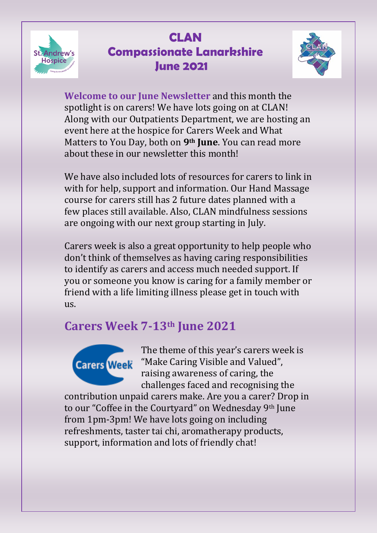



**Welcome to our June Newsletter** and this month the spotlight is on carers! We have lots going on at CLAN! Along with our Outpatients Department, we are hosting an event here at the hospice for Carers Week and What Matters to You Day, both on **9th June**. You can read more about these in our newsletter this month!

We have also included lots of resources for carers to link in with for help, support and information. Our Hand Massage course for carers still has 2 future dates planned with a few places still available. Also, CLAN mindfulness sessions are ongoing with our next group starting in July.

Carers week is also a great opportunity to help people who don't think of themselves as having caring responsibilities to identify as carers and access much needed support. If you or someone you know is caring for a family member or friend with a life limiting illness please get in touch with us.

#### **Carers Week 7-13th June 2021**



The theme of this year's carers week is **Carers Week** "Make Caring Visible and Valued", raising awareness of caring, the challenges faced and recognising the

contribution unpaid carers make. Are you a carer? Drop in to our "Coffee in the Courtyard" on Wednesday 9th June from 1pm-3pm! We have lots going on including refreshments, taster tai chi, aromatherapy products, support, information and lots of friendly chat!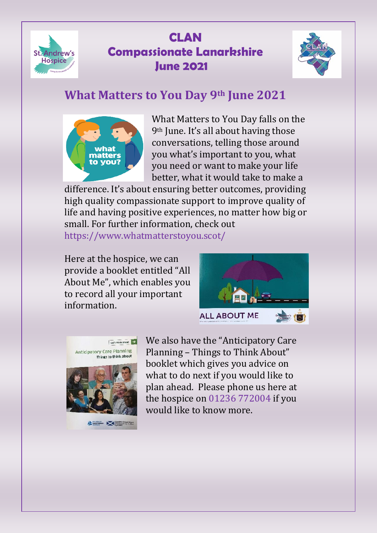



### **What Matters to You Day 9th June 2021**



What Matters to You Day falls on the 9th June. It's all about having those conversations, telling those around you what's important to you, what you need or want to make your life better, what it would take to make a

difference. It's about ensuring better outcomes, providing high quality compassionate support to improve quality of life and having positive experiences, no matter how big or small. For further information, check out https://www.whatmatterstoyou.scot/

Here at the hospice, we can provide a booklet entitled "All About Me", which enables you to record all your important information.







**Alberta Management** 

We also have the "Anticipatory Care Planning – Things to Think About" booklet which gives you advice on what to do next if you would like to plan ahead. Please phone us here at the hospice on 01236 772004 if you would like to know more.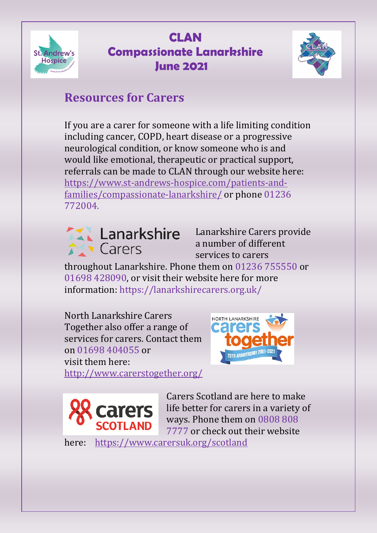



### **Resources for Carers**

If you are a carer for someone with a life limiting condition including cancer, COPD, heart disease or a progressive neurological condition, or know someone who is and would like emotional, therapeutic or practical support, referrals can be made to CLAN through our website here: [https://www.st-andrews-hospice.com/patients-and](https://www.st-andrews-hospice.com/patients-and-families/compassionate-lanarkshire/)[families/compassionate-lanarkshire/](https://www.st-andrews-hospice.com/patients-and-families/compassionate-lanarkshire/) or phone 01236 772004.



Lanarkshire Carers provide a number of different services to carers

throughout Lanarkshire. Phone them on 01236 755550 or 01698 428090, or visit their website here for more information: https://lanarkshirecarers.org.uk/

North Lanarkshire Carers Together also offer a range of services for carers. Contact them on 01698 404055 or visit them here: <http://www.carerstogether.org/>





Carers Scotland are here to make life better for carers in a variety of ways. Phone them on 0808 808 7777 or check out their website

here: <https://www.carersuk.org/scotland>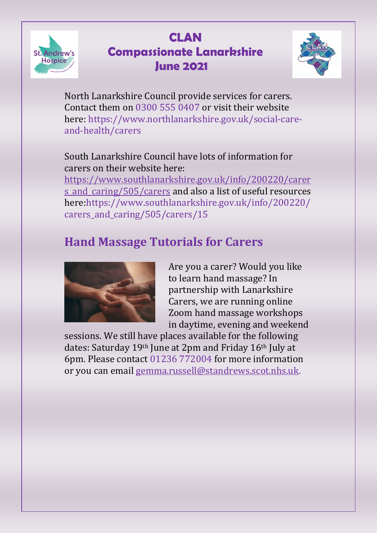



North Lanarkshire Council provide services for carers. Contact them on 0300 555 0407 or visit their website here: https://www.northlanarkshire.gov.uk/social-careand-health/carers

South Lanarkshire Council have lots of information for carers on their website here:

[https://www.southlanarkshire.gov.uk/info/200220/carer](https://www.southlanarkshire.gov.uk/info/200220/carers_and_caring/505/carers) s and caring/505/carers and also a list of useful resources here:https://www.southlanarkshire.gov.uk/info/200220/ carers and caring/505/carers/15

## **Hand Massage Tutorials for Carers**



Are you a carer? Would you like to learn hand massage? In partnership with Lanarkshire Carers, we are running online Zoom hand massage workshops in daytime, evening and weekend

sessions. We still have places available for the following dates: Saturday 19th June at 2pm and Friday 16th July at 6pm. Please contact 01236 772004 for more information or you can email [gemma.russell@standrews.scot.nhs.uk.](mailto:gemma.russell@standrews.scot.nhs.uk)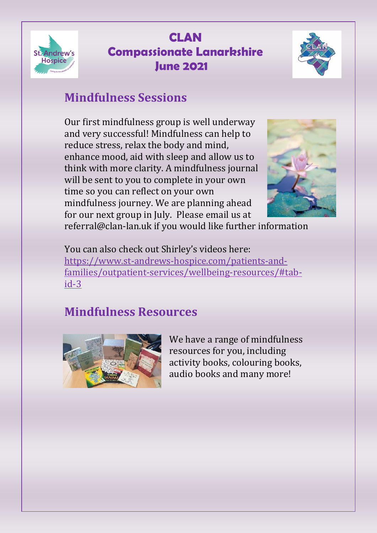



## **Mindfulness Sessions**

Our first mindfulness group is well underway and very successful! Mindfulness can help to reduce stress, relax the body and mind, enhance mood, aid with sleep and allow us to think with more clarity. A mindfulness journal will be sent to you to complete in your own time so you can reflect on your own mindfulness journey. We are planning ahead for our next group in July. Please email us at



referral@clan-lan.uk if you would like further information

You can also check out Shirley's videos here: [https://www.st-andrews-hospice.com/patients-and](https://www.st-andrews-hospice.com/patients-and-families/outpatient-services/wellbeing-resources/#tab-id-3)[families/outpatient-services/wellbeing-resources/#tab](https://www.st-andrews-hospice.com/patients-and-families/outpatient-services/wellbeing-resources/#tab-id-3)[id-3](https://www.st-andrews-hospice.com/patients-and-families/outpatient-services/wellbeing-resources/#tab-id-3)

# **Mindfulness Resources**



We have a range of mindfulness resources for you, including activity books, colouring books, audio books and many more!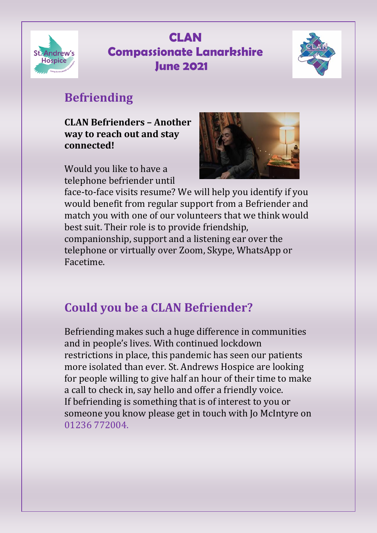



## **Befriending**

**CLAN Befrienders – Another way to reach out and stay connected!**

Would you like to have a telephone befriender until



face-to-face visits resume? We will help you identify if you would benefit from regular support from a Befriender and match you with one of our volunteers that we think would best suit. Their role is to provide friendship, companionship, support and a listening ear over the telephone or virtually over Zoom, Skype, WhatsApp or Facetime.

## **Could you be a CLAN Befriender?**

Befriending makes such a huge difference in communities and in people's lives. With continued lockdown restrictions in place, this pandemic has seen our patients more isolated than ever. St. Andrews Hospice are looking for people willing to give half an hour of their time to make a call to check in, say hello and offer a friendly voice. If befriending is something that is of interest to you or someone you know please get in touch with Jo McIntyre on 01236 772004.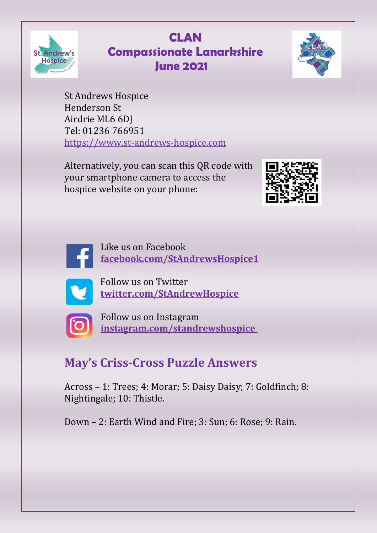



St Andrews Hospice Henderson St Airdrie ML6 6DJ Tel: 01236 766951 [https://www.st-andrews-hospice.com](https://www.st-andrews-hospice.com/)

Alternatively, you can scan this QR code with your smartphone camera to access the hospice website on your phone:





Like us on Facebook **[facebook.com/StAndrewsHospice1](http://facebook.com/StAndrewsHospice1)**



Follow us on Twitter **[twitter.com/StAndrewHospice](http://twitter.com/StAndrewHospice)**



Follow us on Instagram **[instagram.com/standrewshospice](http://instagram.com/standrewshospice)**

## **May's Criss-Cross Puzzle Answers**

Across – 1: Trees; 4: Morar; 5: Daisy Daisy; 7: Goldfinch; 8: Nightingale; 10: Thistle.

Down – 2: Earth Wind and Fire; 3: Sun; 6: Rose; 9: Rain.